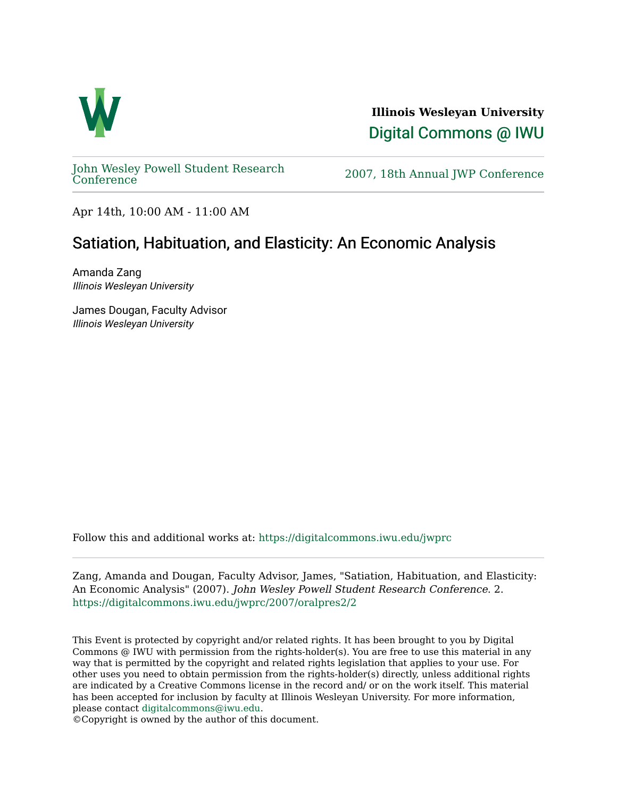

**Illinois Wesleyan University**  [Digital Commons @ IWU](https://digitalcommons.iwu.edu/) 

[John Wesley Powell Student Research](https://digitalcommons.iwu.edu/jwprc) 

2007, 18th Annual JWP [Conference](https://digitalcommons.iwu.edu/jwprc)

Apr 14th, 10:00 AM - 11:00 AM

## Satiation, Habituation, and Elasticity: An Economic Analysis

Amanda Zang Illinois Wesleyan University

James Dougan, Faculty Advisor Illinois Wesleyan University

Follow this and additional works at: [https://digitalcommons.iwu.edu/jwprc](https://digitalcommons.iwu.edu/jwprc?utm_source=digitalcommons.iwu.edu%2Fjwprc%2F2007%2Foralpres2%2F2&utm_medium=PDF&utm_campaign=PDFCoverPages) 

Zang, Amanda and Dougan, Faculty Advisor, James, "Satiation, Habituation, and Elasticity: An Economic Analysis" (2007). John Wesley Powell Student Research Conference. 2. [https://digitalcommons.iwu.edu/jwprc/2007/oralpres2/2](https://digitalcommons.iwu.edu/jwprc/2007/oralpres2/2?utm_source=digitalcommons.iwu.edu%2Fjwprc%2F2007%2Foralpres2%2F2&utm_medium=PDF&utm_campaign=PDFCoverPages)

This Event is protected by copyright and/or related rights. It has been brought to you by Digital Commons @ IWU with permission from the rights-holder(s). You are free to use this material in any way that is permitted by the copyright and related rights legislation that applies to your use. For other uses you need to obtain permission from the rights-holder(s) directly, unless additional rights are indicated by a Creative Commons license in the record and/ or on the work itself. This material has been accepted for inclusion by faculty at Illinois Wesleyan University. For more information, please contact [digitalcommons@iwu.edu.](mailto:digitalcommons@iwu.edu)

©Copyright is owned by the author of this document.